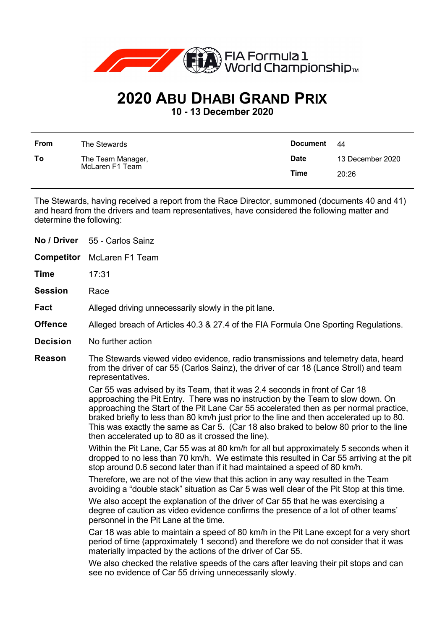

## **2020 ABU DHABI GRAND PRIX**

**10 - 13 December 2020**

| <b>From</b> | The Stewards                         | Document    | - 44             |
|-------------|--------------------------------------|-------------|------------------|
| To          | The Team Manager,<br>McLaren F1 Team | <b>Date</b> | 13 December 2020 |
|             |                                      | Time        | 20:26            |

The Stewards, having received a report from the Race Director, summoned (documents 40 and 41) and heard from the drivers and team representatives, have considered the following matter and determine the following:

| No / Driver       | 55 - Carlos Sainz                                                                                                                                                                                                                                                                                                                                                                                                                                                                                   |  |
|-------------------|-----------------------------------------------------------------------------------------------------------------------------------------------------------------------------------------------------------------------------------------------------------------------------------------------------------------------------------------------------------------------------------------------------------------------------------------------------------------------------------------------------|--|
| <b>Competitor</b> | McLaren F1 Team                                                                                                                                                                                                                                                                                                                                                                                                                                                                                     |  |
| Time              | 17:31                                                                                                                                                                                                                                                                                                                                                                                                                                                                                               |  |
| <b>Session</b>    | Race                                                                                                                                                                                                                                                                                                                                                                                                                                                                                                |  |
| Fact              | Alleged driving unnecessarily slowly in the pit lane.                                                                                                                                                                                                                                                                                                                                                                                                                                               |  |
| <b>Offence</b>    | Alleged breach of Articles 40.3 & 27.4 of the FIA Formula One Sporting Regulations.                                                                                                                                                                                                                                                                                                                                                                                                                 |  |
| <b>Decision</b>   | No further action                                                                                                                                                                                                                                                                                                                                                                                                                                                                                   |  |
| Reason            | The Stewards viewed video evidence, radio transmissions and telemetry data, heard<br>from the driver of car 55 (Carlos Sainz), the driver of car 18 (Lance Stroll) and team<br>representatives.                                                                                                                                                                                                                                                                                                     |  |
|                   | Car 55 was advised by its Team, that it was 2.4 seconds in front of Car 18<br>approaching the Pit Entry. There was no instruction by the Team to slow down. On<br>approaching the Start of the Pit Lane Car 55 accelerated then as per normal practice,<br>braked briefly to less than 80 km/h just prior to the line and then accelerated up to 80.<br>This was exactly the same as Car 5. (Car 18 also braked to below 80 prior to the line<br>then accelerated up to 80 as it crossed the line). |  |
|                   | Within the Pit Lane, Car 55 was at 80 km/h for all but approximately 5 seconds when it<br>dropped to no less than 70 km/h. We estimate this resulted in Car 55 arriving at the pit<br>stop around 0.6 second later than if it had maintained a speed of 80 km/h.                                                                                                                                                                                                                                    |  |
|                   | Therefore, we are not of the view that this action in any way resulted in the Team<br>avoiding a "double stack" situation as Car 5 was well clear of the Pit Stop at this time.                                                                                                                                                                                                                                                                                                                     |  |
|                   | We also accept the explanation of the driver of Car 55 that he was exercising a<br>degree of caution as video evidence confirms the presence of a lot of other teams'<br>personnel in the Pit Lane at the time.                                                                                                                                                                                                                                                                                     |  |
|                   | Car 18 was able to maintain a speed of 80 km/h in the Pit Lane except for a very short<br>period of time (approximately 1 second) and therefore we do not consider that it was<br>materially impacted by the actions of the driver of Car 55.                                                                                                                                                                                                                                                       |  |
|                   | We also checked the relative speeds of the cars after leaving their pit stops and can<br>see no evidence of Car 55 driving unnecessarily slowly.                                                                                                                                                                                                                                                                                                                                                    |  |
|                   |                                                                                                                                                                                                                                                                                                                                                                                                                                                                                                     |  |